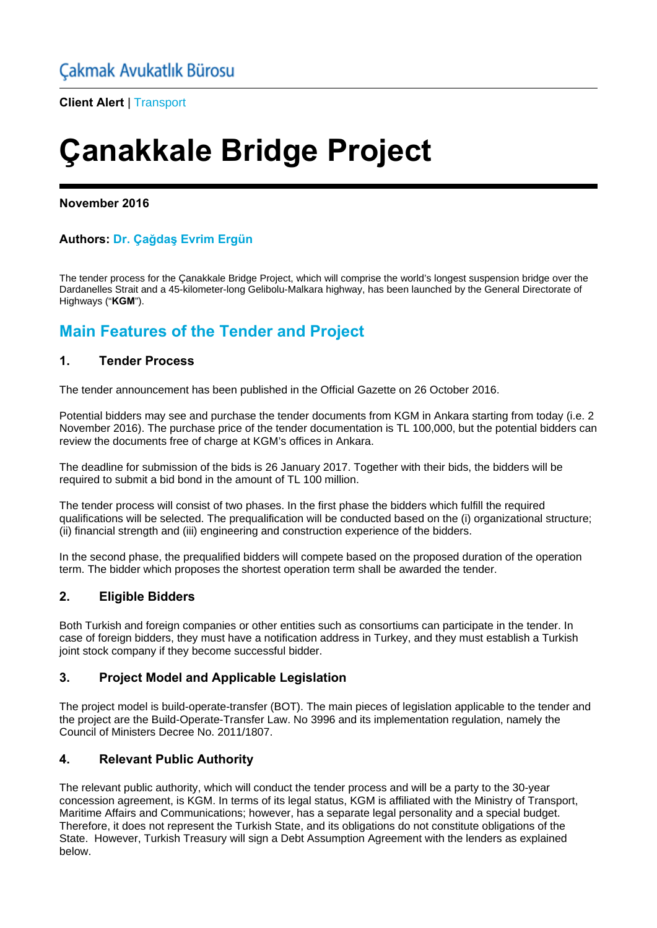**Client Alert** | Transport

# **Çanakkale Bridge Project**

## **November 2016**

## **Authors: Dr. Çağdaş Evrim Ergün**

The tender process for the Çanakkale Bridge Project, which will comprise the world's longest suspension bridge over the Dardanelles Strait and a 45-kilometer-long Gelibolu-Malkara highway, has been launched by the General Directorate of Highways ("**KGM**").

## **Main Features of the Tender and Project**

## **1. Tender Process**

The tender announcement has been published in the Official Gazette on 26 October 2016.

Potential bidders may see and purchase the tender documents from KGM in Ankara starting from today (i.e. 2 November 2016). The purchase price of the tender documentation is TL 100,000, but the potential bidders can review the documents free of charge at KGM's offices in Ankara.

The deadline for submission of the bids is 26 January 2017. Together with their bids, the bidders will be required to submit a bid bond in the amount of TL 100 million.

The tender process will consist of two phases. In the first phase the bidders which fulfill the required qualifications will be selected. The prequalification will be conducted based on the (i) organizational structure; (ii) financial strength and (iii) engineering and construction experience of the bidders.

In the second phase, the prequalified bidders will compete based on the proposed duration of the operation term. The bidder which proposes the shortest operation term shall be awarded the tender.

## **2. Eligible Bidders**

Both Turkish and foreign companies or other entities such as consortiums can participate in the tender. In case of foreign bidders, they must have a notification address in Turkey, and they must establish a Turkish joint stock company if they become successful bidder.

## **3. Project Model and Applicable Legislation**

The project model is build-operate-transfer (BOT). The main pieces of legislation applicable to the tender and the project are the Build-Operate-Transfer Law. No 3996 and its implementation regulation, namely the Council of Ministers Decree No. 2011/1807.

## **4. Relevant Public Authority**

The relevant public authority, which will conduct the tender process and will be a party to the 30-year concession agreement, is KGM. In terms of its legal status, KGM is affiliated with the Ministry of Transport, Maritime Affairs and Communications; however, has a separate legal personality and a special budget. Therefore, it does not represent the Turkish State, and its obligations do not constitute obligations of the State. However, Turkish Treasury will sign a Debt Assumption Agreement with the lenders as explained below.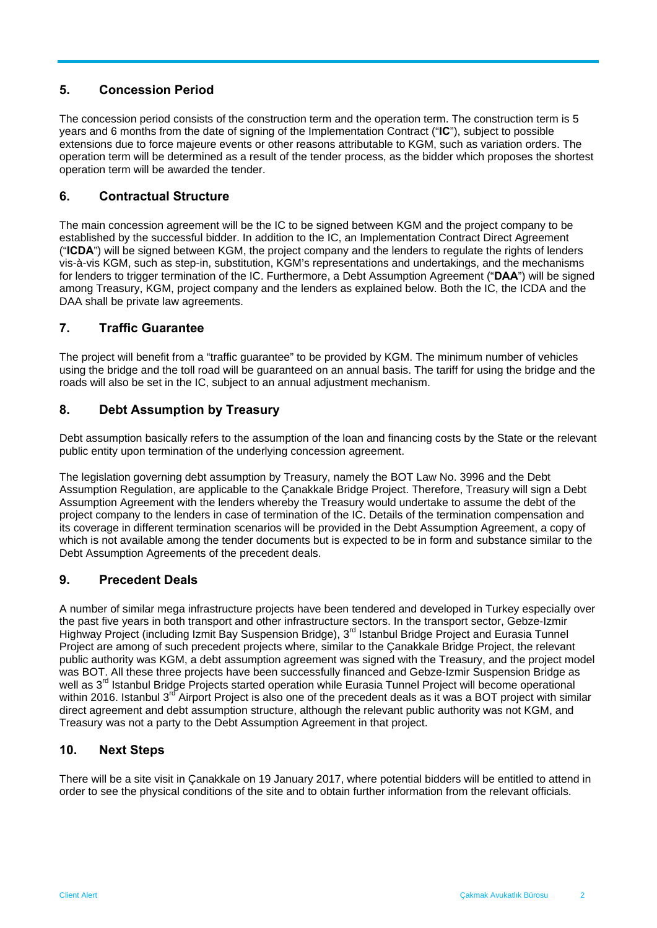## **5. Concession Period**

The concession period consists of the construction term and the operation term. The construction term is 5 years and 6 months from the date of signing of the Implementation Contract ("**IC**"), subject to possible extensions due to force majeure events or other reasons attributable to KGM, such as variation orders. The operation term will be determined as a result of the tender process, as the bidder which proposes the shortest operation term will be awarded the tender.

## **6. Contractual Structure**

The main concession agreement will be the IC to be signed between KGM and the project company to be established by the successful bidder. In addition to the IC, an Implementation Contract Direct Agreement ("**ICDA**") will be signed between KGM, the project company and the lenders to regulate the rights of lenders vis-à-vis KGM, such as step-in, substitution, KGM's representations and undertakings, and the mechanisms for lenders to trigger termination of the IC. Furthermore, a Debt Assumption Agreement ("**DAA**") will be signed among Treasury, KGM, project company and the lenders as explained below. Both the IC, the ICDA and the DAA shall be private law agreements.

## **7. Traffic Guarantee**

The project will benefit from a "traffic guarantee" to be provided by KGM. The minimum number of vehicles using the bridge and the toll road will be guaranteed on an annual basis. The tariff for using the bridge and the roads will also be set in the IC, subject to an annual adjustment mechanism.

## **8. Debt Assumption by Treasury**

Debt assumption basically refers to the assumption of the loan and financing costs by the State or the relevant public entity upon termination of the underlying concession agreement.

The legislation governing debt assumption by Treasury, namely the BOT Law No. 3996 and the Debt Assumption Regulation, are applicable to the Çanakkale Bridge Project. Therefore, Treasury will sign a Debt Assumption Agreement with the lenders whereby the Treasury would undertake to assume the debt of the project company to the lenders in case of termination of the IC. Details of the termination compensation and its coverage in different termination scenarios will be provided in the Debt Assumption Agreement, a copy of which is not available among the tender documents but is expected to be in form and substance similar to the Debt Assumption Agreements of the precedent deals.

## **9. Precedent Deals**

A number of similar mega infrastructure projects have been tendered and developed in Turkey especially over the past five years in both transport and other infrastructure sectors. In the transport sector, Gebze-Izmir Highway Project (including Izmit Bay Suspension Bridge), 3<sup>rd</sup> Istanbul Bridge Project and Eurasia Tunnel Project are among of such precedent projects where, similar to the Çanakkale Bridge Project, the relevant public authority was KGM, a debt assumption agreement was signed with the Treasury, and the project model was BOT. All these three projects have been successfully financed and Gebze-Izmir Suspension Bridge as well as 3<sup>rd</sup> Istanbul Bridge Projects started operation while Eurasia Tunnel Project will become operational within 2016. Istanbul 3<sup>rd</sup> Airport Project is also one of the precedent deals as it was a BOT project with similar direct agreement and debt assumption structure, although the relevant public authority was not KGM, and Treasury was not a party to the Debt Assumption Agreement in that project.

## **10. Next Steps**

There will be a site visit in Çanakkale on 19 January 2017, where potential bidders will be entitled to attend in order to see the physical conditions of the site and to obtain further information from the relevant officials.